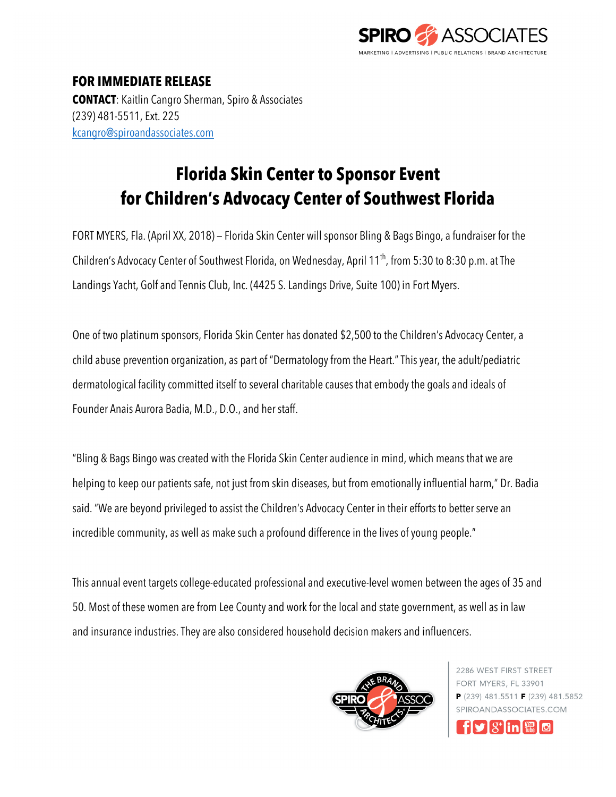

**FOR IMMEDIATE RELEASE CONTACT**: Kaitlin Cangro Sherman, Spiro & Associates (239) 481-5511, Ext. 225 kcangro@spiroandassociates.com

## **Florida Skin Center to Sponsor Event for Children's Advocacy Center of Southwest Florida**

FORT MYERS, Fla. (April XX, 2018) — Florida Skin Center will sponsor Bling & Bags Bingo, a fundraiser for the Children's Advocacy Center of Southwest Florida, on Wednesday, April 11<sup>th</sup>, from 5:30 to 8:30 p.m. at The Landings Yacht, Golf and Tennis Club, Inc. (4425 S. Landings Drive, Suite 100) in Fort Myers.

One of two platinum sponsors, Florida Skin Center has donated \$2,500 to the Children's Advocacy Center, a child abuse prevention organization, as part of "Dermatology from the Heart." This year, the adult/pediatric dermatological facility committed itself to several charitable causes that embody the goals and ideals of Founder Anais Aurora Badia, M.D., D.O., and her staff.

"Bling & Bags Bingo was created with the Florida Skin Center audience in mind, which means that we are helping to keep our patients safe, not just from skin diseases, but from emotionally influential harm," Dr. Badia said. "We are beyond privileged to assist the Children's Advocacy Center in their efforts to better serve an incredible community, as well as make such a profound difference in the lives of young people."

This annual event targets college-educated professional and executive-level women between the ages of 35 and 50. Most of these women are from Lee County and work for the local and state government, as well as in law and insurance industries. They are also considered household decision makers and influencers.



2286 WEST FIRST STREET FORT MYERS, FL 33901 P (239) 481.5511 F (239) 481.5852 SPIROANDASSOCIATES.COM